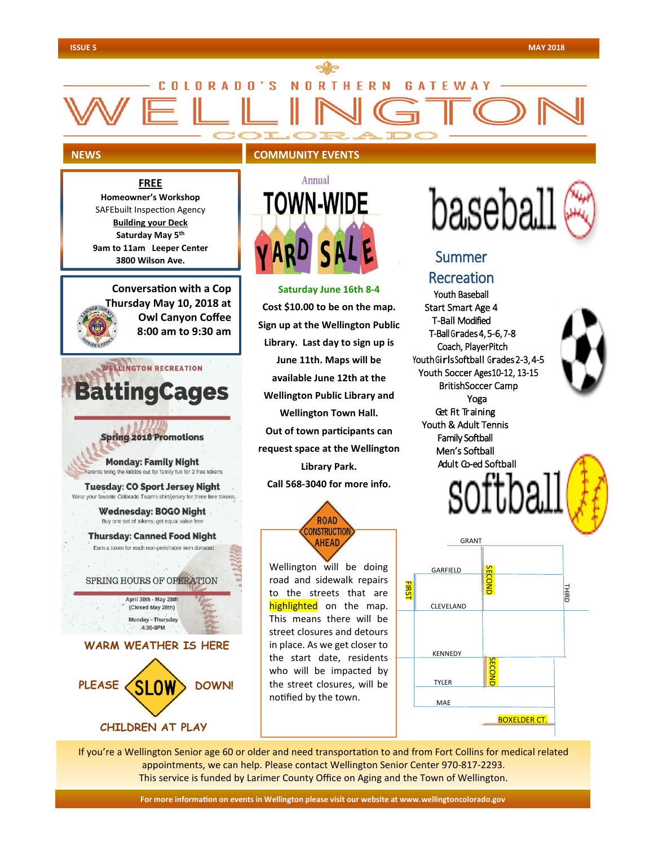### **NINRANN** S F **RN GATEWAY**

# **NEWS**

#### **FREE**

**Homeowner's Workshop**  SAFEbuilt Inspection Agency **Building your Deck Saturday May 5th 9am to 11am Leeper Center** 

> **Conversation with a Cop Thursday May 10, 2018 at Owl Canyon Coffee 8:00 am to 9:30 am**

# **WELLINGTON RECREATION BattingCages Spring 2018 Promotions Monday: Family Night** arents bring the kiddos out for family fun for 3 free tokens **Tuesday: CO Sport Jersey Night** Wear your favorite Colorado Team's shirt/jersey for three free tokens. **Wednesday: BOGO Night** Buy one set of tokens, get equal value free **Thursday: Canned Food Night** Earn a token for each non-perishable item donated SPRING HOURS OF OPERATION April 30th - May 28th (Closed May 28th) Monday - Thursday

4:30-8PM **WARM WEATHER IS HERE**



#### **COMMUNITY EVENTS**



## **Saturday June 16th 8-4 Cost \$10.00 to be on the map. Sign up at the Wellington Public Library. Last day to sign up is June 11th. Maps will be available June 12th at the Wellington Public Library and Wellington Town Hall. Out of town par�cipants can request space at the Wellington Library Park. Call 568-3040 for more info.**



Wellington will be doing road and sidewalk repairs to the streets that are highlighted on the map. This means there will be street closures and detours in place. As we get closer to the start date, residents who will be impacted by the street closures, will be notified by the town.



# Recreation

Youth Baseball Start Smart Age 4 T-Ball Modified T-Ball Grades 4, 5-6, 7-8 Coach, Player Pitch Youth Girls Softball Grades 2-3, 4-5 Youth Soccer Ages 10-12, 13-15 British Soccer Camp Yoga Get Fit Training Youth & Adult Tennis Family Softball Men's Softball Adult Co-ed Softball





If you're a Wellington Senior age 60 or older and need transportation to and from Fort Collins for medical related appointments, we can help. Please contact Wellington Senior Center 970-817-2293. This service is funded by Larimer County Office on Aging and the Town of Wellington.

**For more informa�on on events in Wellington please visit our website at www.wellingtoncolorado.gov**